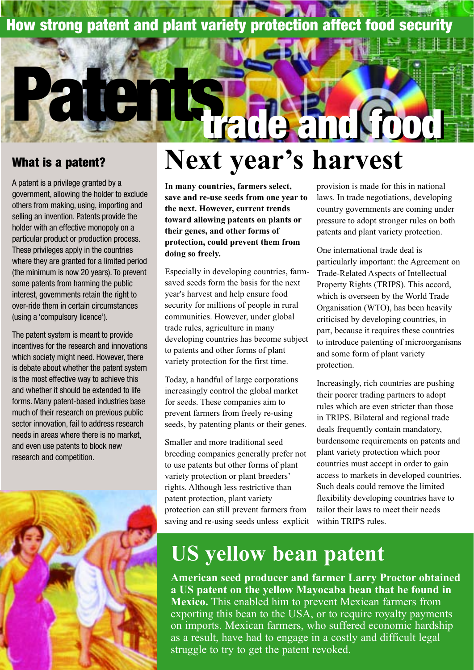### **How strong patent and plant variety protection affect food security**

#### **What is a patent?**

A patent is a privilege granted by a government, allowing the holder to exclude others from making, using, importing and selling an invention. Patents provide the holder with an effective monopoly on a particular product or production process. These privileges apply in the countries where they are granted for a limited period (the minimum is now 20 years). To prevent some patents from harming the public interest, governments retain the right to over-ride them in certain circumstances (using a 'compulsory licence').

**Patents**

The patent system is meant to provide incentives for the research and innovations which society might need. However, there is debate about whether the patent system is the most effective way to achieve this and whether it should be extended to life forms. Many patent-based industries base much of their research on previous public sector innovation, fail to address research needs in areas where there is no market, and even use patents to block new research and competition.



# **Next year's harvest trade and food trade and food**

**In many countries, farmers select, save and re-use seeds from one year to the next. However, current trends toward allowing patents on plants or their genes, and other forms of protection, could prevent them from doing so freely.**

Especially in developing countries, farmsaved seeds form the basis for the next year's harvest and help ensure food security for millions of people in rural communities. However, under global trade rules, agriculture in many developing countries has become subject to patents and other forms of plant variety protection for the first time.

Today, a handful of large corporations increasingly control the global market for seeds. These companies aim to prevent farmers from freely re-using seeds, by patenting plants or their genes.

Smaller and more traditional seed breeding companies generally prefer not to use patents but other forms of plant variety protection or plant breeders' rights. Although less restrictive than patent protection, plant variety protection can still prevent farmers from saving and re-using seeds unless explicit provision is made for this in national laws. In trade negotiations, developing country governments are coming under pressure to adopt stronger rules on both patents and plant variety protection.

One international trade deal is particularly important: the Agreement on Trade-Related Aspects of Intellectual Property Rights (TRIPS). This accord, which is overseen by the World Trade Organisation (WTO), has been heavily criticised by developing countries, in part, because it requires these countries to introduce patenting of microorganisms and some form of plant variety protection.

Increasingly, rich countries are pushing their poorer trading partners to adopt rules which are even stricter than those in TRIPS. Bilateral and regional trade deals frequently contain mandatory, burdensome requirements on patents and plant variety protection which poor countries must accept in order to gain access to markets in developed countries. Such deals could remove the limited flexibility developing countries have to tailor their laws to meet their needs within TRIPS rules.

### **US yellow bean patent**

**American seed producer and farmer Larry Proctor obtained a US patent on the yellow Mayocaba bean that he found in Mexico.** This enabled him to prevent Mexican farmers from exporting this bean to the USA, or to require royalty payments on imports. Mexican farmers, who suffered economic hardship as a result, have had to engage in a costly and difficult legal struggle to try to get the patent revoked.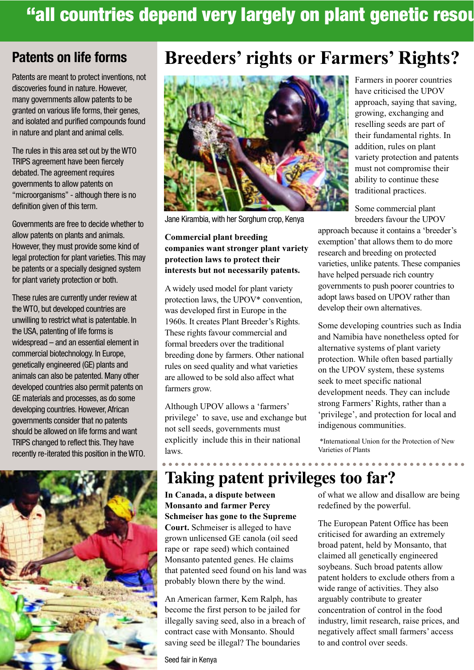### "all countries depend very largely on plant genetic resou

Patents are meant to protect inventions, not discoveries found in nature. However, many governments allow patents to be granted on various life forms, their genes, and isolated and purified compounds found in nature and plant and animal cells.

The rules in this area set out by the WTO TRIPS agreement have been fiercely debated. The agreement requires governments to allow patents on "microorganisms" - although there is no definition given of this term.

Governments are free to decide whether to allow patents on plants and animals. However, they must provide some kind of legal protection for plant varieties. This may be patents or a specially designed system for plant variety protection or both.

These rules are currently under review at the WTO, but developed countries are unwilling to restrict what is patentable. In the USA, patenting of life forms is widespread – and an essential element in commercial biotechnology. In Europe, genetically engineered (GE) plants and animals can also be patented. Many other developed countries also permit patents on GE materials and processes, as do some developing countries. However, African governments consider that no patents should be allowed on life forms and want TRIPS changed to reflect this.They have recently re-iterated this position in the WTO.





Jane Kirambia, with her Sorghum crop, Kenya

#### **Commercial plant breeding companies want stronger plant variety protection laws to protect their interests but not necessarily patents.**

A widely used model for plant variety protection laws, the UPOV\* convention, was developed first in Europe in the 1960s. It creates Plant Breeder's Rights. These rights favour commercial and formal breeders over the traditional breeding done by farmers. Other national rules on seed quality and what varieties are allowed to be sold also affect what farmers grow.

Although UPOV allows a 'farmers' privilege' to save, use and exchange but not sell seeds, governments must explicitly include this in their national laws.

Farmers in poorer countries have criticised the UPOV approach, saying that saving, growing, exchanging and reselling seeds are part of their fundamental rights. In addition, rules on plant variety protection and patents must not compromise their ability to continue these traditional practices.

Some commercial plant breeders favour the UPOV

approach because it contains a 'breeder's exemption' that allows them to do more research and breeding on protected varieties, unlike patents. These companies have helped persuade rich country governments to push poorer countries to adopt laws based on UPOV rather than develop their own alternatives.

Some developing countries such as India and Namibia have nonetheless opted for alternative systems of plant variety protection. While often based partially on the UPOV system, these systems seek to meet specific national development needs. They can include strong Farmers' Rights, rather than a 'privilege', and protection for local and indigenous communities.

\*International Union for the Protection of New Varieties of Plants

<u>. . . . . . . . . . . . . . . .</u>

### **Taking patent privileges too far?**

**In Canada, a dispute between Monsanto and farmer Percy Schmeiser has gone to the Supreme Court.** Schmeiser is alleged to have grown unlicensed GE canola (oil seed rape or rape seed) which contained Monsanto patented genes. He claims that patented seed found on his land was probably blown there by the wind.

An American farmer, Kem Ralph, has become the first person to be jailed for illegally saving seed, also in a breach of contract case with Monsanto. Should saving seed be illegal? The boundaries

Seed fair in Kenya

of what we allow and disallow are being redefined by the powerful.

The European Patent Office has been criticised for awarding an extremely broad patent, held by Monsanto, that claimed all genetically engineered soybeans. Such broad patents allow patent holders to exclude others from a wide range of activities. They also arguably contribute to greater concentration of control in the food industry, limit research, raise prices, and negatively affect small farmers' access to and control over seeds.

### **Patents on life forms Breeders' rights or Farmers' Rights?**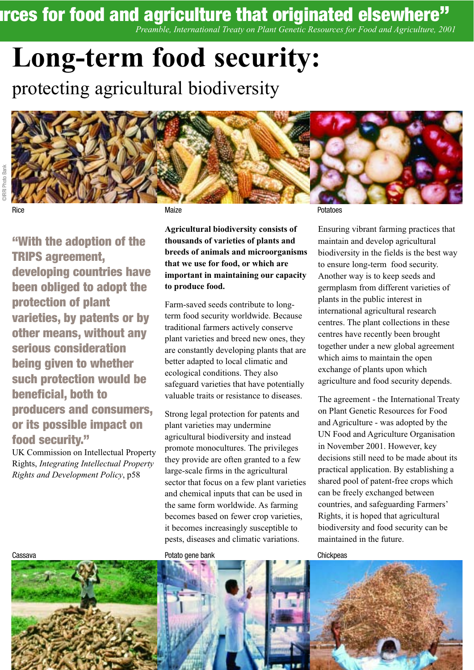# **Inces for food and agriculture that originated elsewhere"**

*Preamble, International Treaty on Plant Genetic Resources for Food and Agriculture, 2001*

# **Long-term food security:**

protecting agricultural biodiversity



©IRRI Photo Bank

**"With the adoption of the TRIPS agreement, developing countries have been obliged to adopt the protection of plant varieties, by patents or by other means, without any serious consideration being given to whether such protection would be beneficial, both to producers and consumers, or its possible impact on food security."**

UK Commission on Intellectual Property Rights, *Integrating Intellectual Property Rights and Development Policy*, p58

**Agricultural biodiversity consists of thousands of varieties of plants and breeds of animals and microorganisms that we use for food, or which are important in maintaining our capacity to produce food.** 

Farm-saved seeds contribute to longterm food security worldwide. Because traditional farmers actively conserve plant varieties and breed new ones, they are constantly developing plants that are better adapted to local climatic and ecological conditions. They also safeguard varieties that have potentially valuable traits or resistance to diseases.

Strong legal protection for patents and plant varieties may undermine agricultural biodiversity and instead promote monocultures. The privileges they provide are often granted to a few large-scale firms in the agricultural sector that focus on a few plant varieties and chemical inputs that can be used in the same form worldwide. As farming becomes based on fewer crop varieties, it becomes increasingly susceptible to pests, diseases and climatic variations.

Rice Richards (1990) and the Maize Potatoes (1990) and the Maize Potatoes (1990) and the Potatoes (1990) and t

Ensuring vibrant farming practices that maintain and develop agricultural biodiversity in the fields is the best way to ensure long-term food security. Another way is to keep seeds and germplasm from different varieties of plants in the public interest in international agricultural research centres. The plant collections in these centres have recently been brought together under a new global agreement which aims to maintain the open exchange of plants upon which agriculture and food security depends.

The agreement - the International Treaty on Plant Genetic Resources for Food and Agriculture - was adopted by the UN Food and Agriculture Organisation in November 2001. However, key decisions still need to be made about its practical application. By establishing a shared pool of patent-free crops which can be freely exchanged between countries, and safeguarding Farmers' Rights, it is hoped that agricultural biodiversity and food security can be maintained in the future.